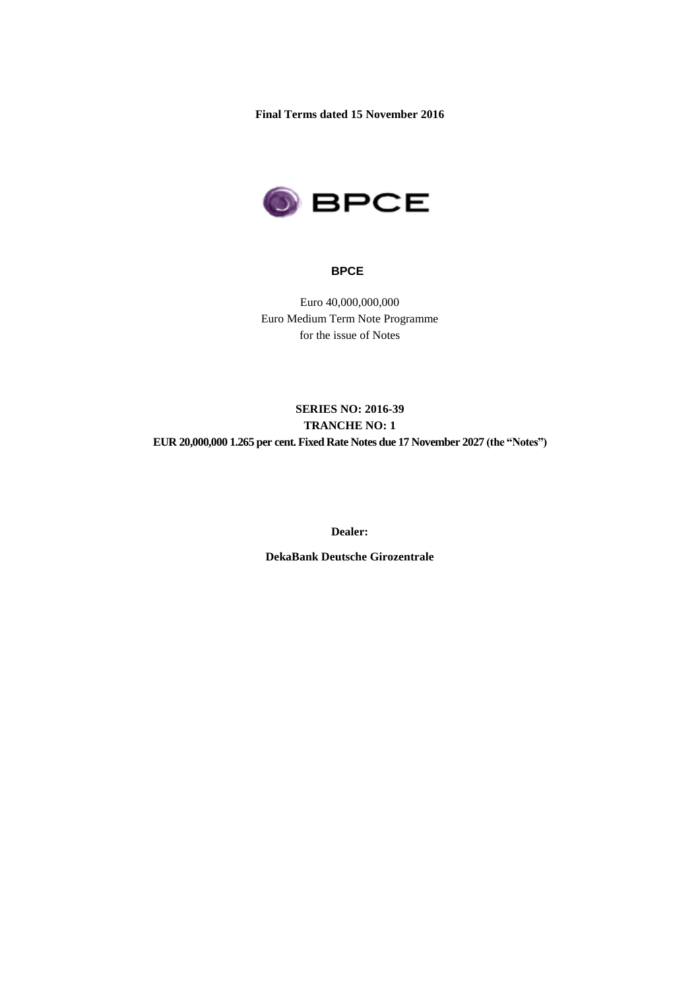**Final Terms dated 15 November 2016**



#### **BPCE**

Euro 40,000,000,000 Euro Medium Term Note Programme for the issue of Notes

# **SERIES NO: 2016-39 TRANCHE NO: 1 EUR 20,000,000 1.265 per cent. Fixed Rate Notes due 17 November 2027 (the "Notes")**

**Dealer:** 

**DekaBank Deutsche Girozentrale**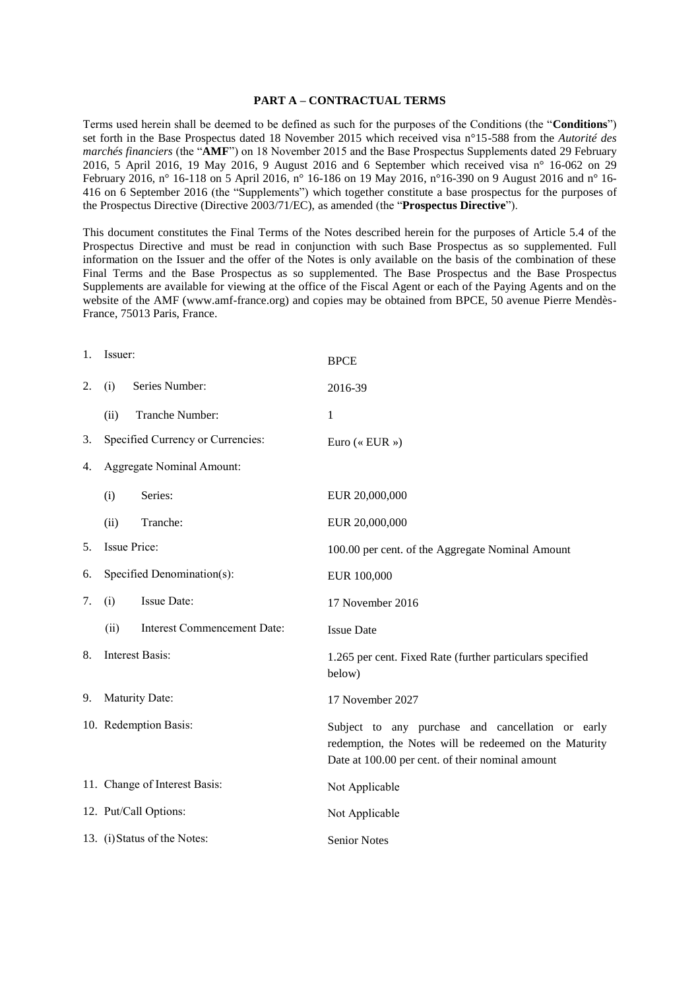#### **PART A – CONTRACTUAL TERMS**

Terms used herein shall be deemed to be defined as such for the purposes of the Conditions (the "**Conditions**") set forth in the Base Prospectus dated 18 November 2015 which received visa n°15-588 from the *Autorité des marchés financiers* (the "**AMF**") on 18 November 2015 and the Base Prospectus Supplements dated 29 February 2016, 5 April 2016, 19 May 2016, 9 August 2016 and 6 September which received visa n° 16-062 on 29 February 2016, n° 16-118 on 5 April 2016, n° 16-186 on 19 May 2016, n°16-390 on 9 August 2016 and n° 16- 416 on 6 September 2016 (the "Supplements") which together constitute a base prospectus for the purposes of the Prospectus Directive (Directive 2003/71/EC), as amended (the "**Prospectus Directive**").

This document constitutes the Final Terms of the Notes described herein for the purposes of Article 5.4 of the Prospectus Directive and must be read in conjunction with such Base Prospectus as so supplemented. Full information on the Issuer and the offer of the Notes is only available on the basis of the combination of these Final Terms and the Base Prospectus as so supplemented. The Base Prospectus and the Base Prospectus Supplements are available for viewing at the office of the Fiscal Agent or each of the Paying Agents and on the website of the AMF (www.amf-france.org) and copies may be obtained from BPCE, 50 avenue Pierre Mendès-France, 75013 Paris, France.

| 1. | Issuer:                       |                                    | <b>BPCE</b>                                                                                                                                                     |  |  |
|----|-------------------------------|------------------------------------|-----------------------------------------------------------------------------------------------------------------------------------------------------------------|--|--|
| 2. | (i)                           | Series Number:                     | 2016-39                                                                                                                                                         |  |  |
|    | (ii)                          | Tranche Number:                    | $\mathbf{1}$                                                                                                                                                    |  |  |
| 3. |                               | Specified Currency or Currencies:  | Euro (« EUR »)                                                                                                                                                  |  |  |
| 4. | Aggregate Nominal Amount:     |                                    |                                                                                                                                                                 |  |  |
|    | (i)                           | Series:                            | EUR 20,000,000                                                                                                                                                  |  |  |
|    | (ii)                          | Tranche:                           | EUR 20,000,000                                                                                                                                                  |  |  |
| 5. |                               | Issue Price:                       | 100.00 per cent. of the Aggregate Nominal Amount                                                                                                                |  |  |
| 6. | Specified Denomination(s):    |                                    | EUR 100,000                                                                                                                                                     |  |  |
| 7. | (i)                           | Issue Date:                        | 17 November 2016                                                                                                                                                |  |  |
|    | (ii)                          | <b>Interest Commencement Date:</b> | <b>Issue Date</b>                                                                                                                                               |  |  |
| 8. | <b>Interest Basis:</b>        |                                    | 1.265 per cent. Fixed Rate (further particulars specified<br>below)                                                                                             |  |  |
| 9. | Maturity Date:                |                                    | 17 November 2027                                                                                                                                                |  |  |
|    | 10. Redemption Basis:         |                                    | Subject to any purchase and cancellation or early<br>redemption, the Notes will be redeemed on the Maturity<br>Date at 100.00 per cent. of their nominal amount |  |  |
|    | 11. Change of Interest Basis: |                                    | Not Applicable                                                                                                                                                  |  |  |
|    | 12. Put/Call Options:         |                                    | Not Applicable                                                                                                                                                  |  |  |
|    | 13. (i) Status of the Notes:  |                                    | <b>Senior Notes</b>                                                                                                                                             |  |  |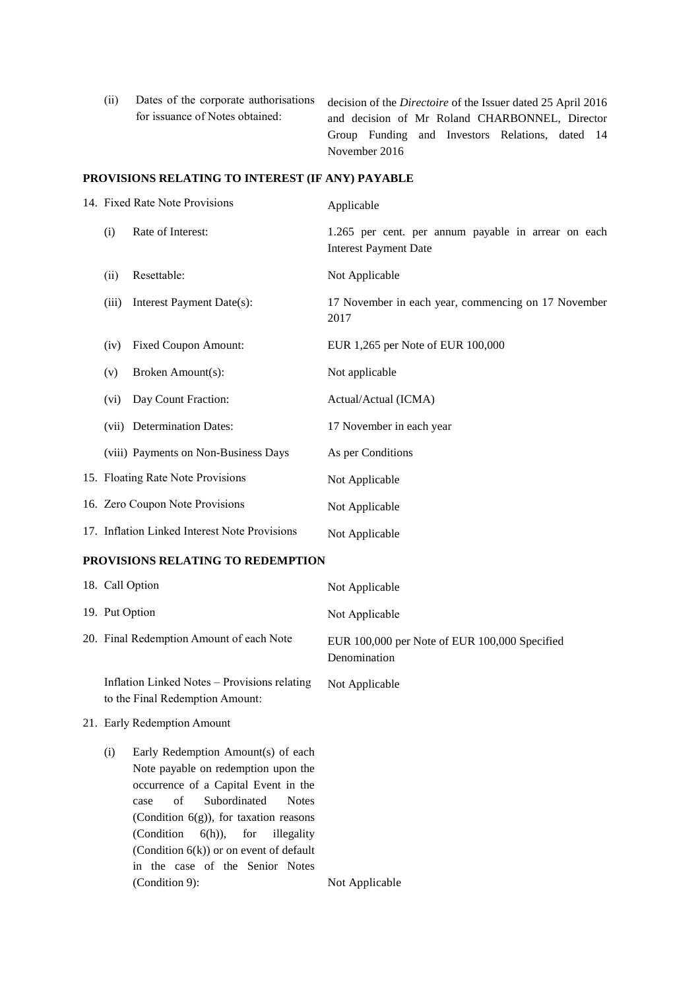(ii) Dates of the corporate authorisations for issuance of Notes obtained: decision of the *Directoire* of the Issuer dated 25 April 2016 and decision of Mr Roland CHARBONNEL, Director Group Funding and Investors Relations, dated 14 November 2016

#### **PROVISIONS RELATING TO INTEREST (IF ANY) PAYABLE**

|  |       | 14. Fixed Rate Note Provisions                | Applicable                                                                          |  |  |
|--|-------|-----------------------------------------------|-------------------------------------------------------------------------------------|--|--|
|  | (i)   | Rate of Interest:                             | 1.265 per cent. per annum payable in arrear on each<br><b>Interest Payment Date</b> |  |  |
|  | (ii)  | Resettable:                                   | Not Applicable                                                                      |  |  |
|  | (iii) | Interest Payment Date(s):                     | 17 November in each year, commencing on 17 November<br>2017                         |  |  |
|  | (iv)  | <b>Fixed Coupon Amount:</b>                   | EUR 1,265 per Note of EUR 100,000                                                   |  |  |
|  | (v)   | Broken Amount(s):                             | Not applicable                                                                      |  |  |
|  | (vi)  | Day Count Fraction:                           | Actual/Actual (ICMA)                                                                |  |  |
|  |       | (vii) Determination Dates:                    | 17 November in each year                                                            |  |  |
|  |       | (viii) Payments on Non-Business Days          | As per Conditions                                                                   |  |  |
|  |       | 15. Floating Rate Note Provisions             | Not Applicable                                                                      |  |  |
|  |       | 16. Zero Coupon Note Provisions               | Not Applicable                                                                      |  |  |
|  |       | 17. Inflation Linked Interest Note Provisions | Not Applicable                                                                      |  |  |

## **PROVISIONS RELATING TO REDEMPTION**

| 18. Call Option                                                                                                                                                        | Not Applicable                                                |
|------------------------------------------------------------------------------------------------------------------------------------------------------------------------|---------------------------------------------------------------|
| 19. Put Option                                                                                                                                                         | Not Applicable                                                |
| 20. Final Redemption Amount of each Note                                                                                                                               | EUR 100,000 per Note of EUR 100,000 Specified<br>Denomination |
| Inflation Linked Notes – Provisions relating<br>to the Final Redemption Amount:                                                                                        | Not Applicable                                                |
| 21. Early Redemption Amount                                                                                                                                            |                                                               |
| Early Redemption Amount(s) of each<br>(i)<br>Note payable on redemption upon the<br>occurrence of a Capital Event in the<br>Subordinated<br><b>Notes</b><br>of<br>case |                                                               |

case of Subordinated Notes (Condition 6(g)), for taxation reasons (Condition 6(h)), for illegality (Condition 6(k)) or on event of default in the case of the Senior Notes (Condition 9): Not Applicable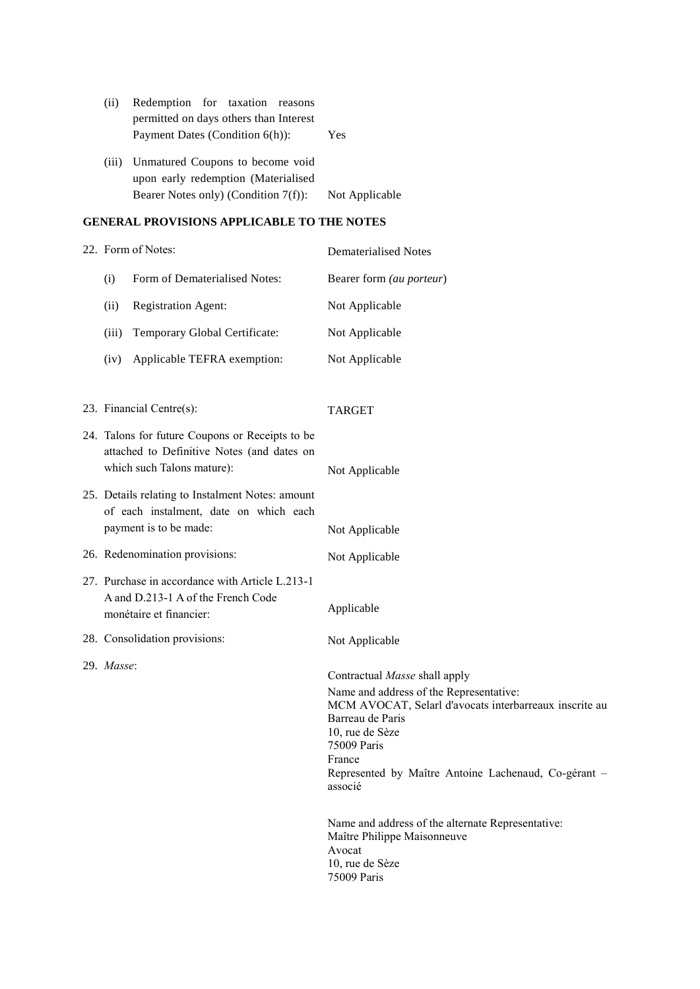| (ii)  | Redemption for taxation reasons        |                |
|-------|----------------------------------------|----------------|
|       | permitted on days others than Interest |                |
|       | Payment Dates (Condition 6(h)):        | Yes            |
| (iii) | Unmatured Coupons to become void       |                |
|       | upon early redemption (Materialised    |                |
|       | Bearer Notes only) (Condition 7(f)):   | Not Applicable |

#### **GENERAL PROVISIONS APPLICABLE TO THE NOTES**

|                                                                                                                             | 22. Form of Notes:                                                                                                   | Dematerialised Notes     |
|-----------------------------------------------------------------------------------------------------------------------------|----------------------------------------------------------------------------------------------------------------------|--------------------------|
| (i)                                                                                                                         | Form of Dematerialised Notes:                                                                                        | Bearer form (au porteur) |
| (ii)                                                                                                                        | <b>Registration Agent:</b>                                                                                           | Not Applicable           |
| (iii)                                                                                                                       | Temporary Global Certificate:                                                                                        | Not Applicable           |
| (iv)                                                                                                                        | Applicable TEFRA exemption:                                                                                          | Not Applicable           |
|                                                                                                                             |                                                                                                                      |                          |
| 23. Financial Centre(s):                                                                                                    |                                                                                                                      | <b>TARGET</b>            |
| 24. Talons for future Coupons or Receipts to be<br>attached to Definitive Notes (and dates on<br>which such Talons mature): |                                                                                                                      | Not Applicable           |
|                                                                                                                             | 25. Details relating to Instalment Notes: amount<br>of each instalment, date on which each<br>payment is to be made: |                          |
|                                                                                                                             |                                                                                                                      | Not Applicable           |

| 26. Redenomination provisions:                                                                                   | Not Applicable |
|------------------------------------------------------------------------------------------------------------------|----------------|
| 27. Purchase in accordance with Article L.213-1<br>A and D.213-1 A of the French Code<br>monétaire et financier: | Applicable     |

28. Consolidation provisions: Not Applicable

29. *Masse*:

Contractual *Masse* shall apply Name and address of the Representative: MCM AVOCAT, Selarl d'avocats interbarreaux inscrite au Barreau de Paris 10, rue de Sèze 75009 Paris France Represented by Maître Antoine Lachenaud, Co-gérant – associé

Name and address of the alternate Representative: Maître Philippe Maisonneuve Avocat 10, rue de Sèze 75009 Paris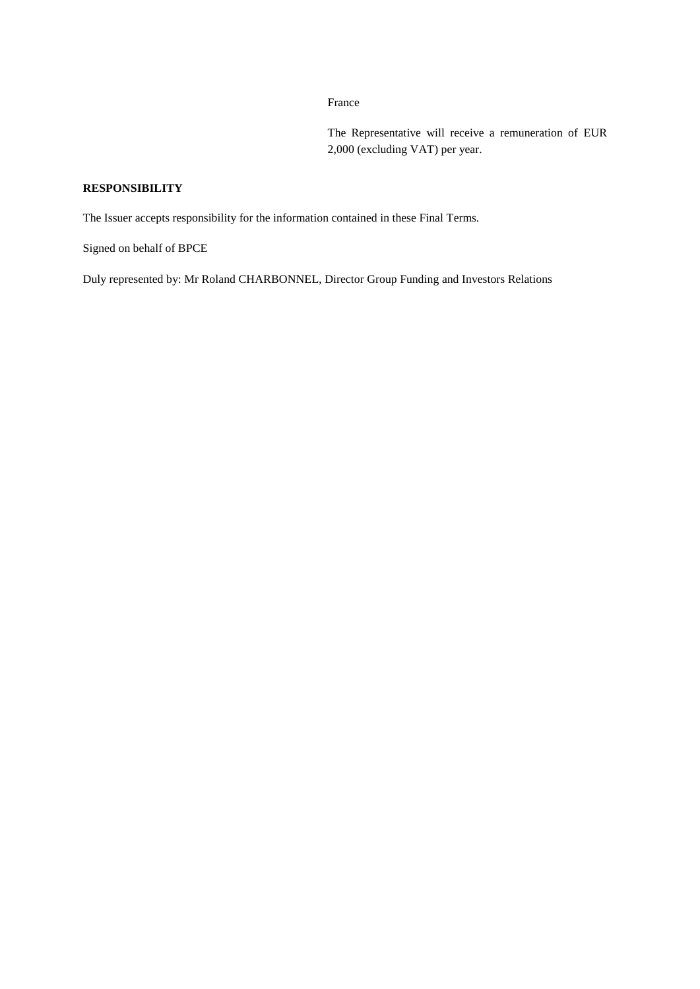France

The Representative will receive a remuneration of EUR 2,000 (excluding VAT) per year.

# **RESPONSIBILITY**

The Issuer accepts responsibility for the information contained in these Final Terms.

Signed on behalf of BPCE

Duly represented by: Mr Roland CHARBONNEL, Director Group Funding and Investors Relations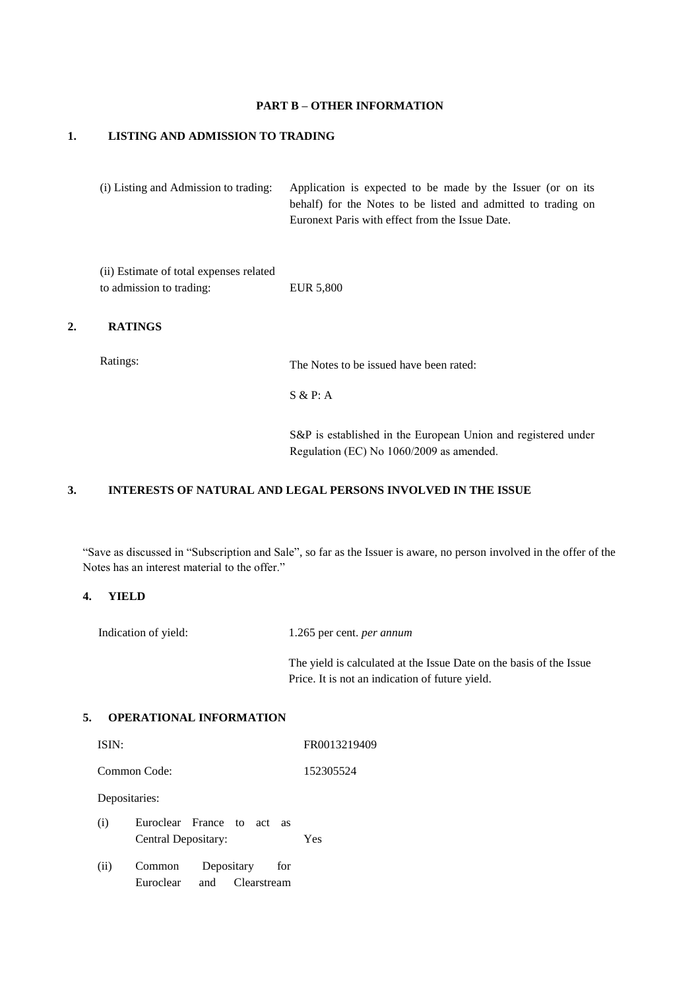#### **PART B – OTHER INFORMATION**

## **1. LISTING AND ADMISSION TO TRADING**

(i) Listing and Admission to trading: Application is expected to be made by the Issuer (or on its behalf) for the Notes to be listed and admitted to trading on Euronext Paris with effect from the Issue Date.

(ii) Estimate of total expenses related to admission to trading: EUR 5,800

## **2. RATINGS**

Ratings: The Notes to be issued have been rated:

S & P: A

S&P is established in the European Union and registered under Regulation (EC) No 1060/2009 as amended.

# **3. INTERESTS OF NATURAL AND LEGAL PERSONS INVOLVED IN THE ISSUE**

"Save as discussed in "Subscription and Sale", so far as the Issuer is aware, no person involved in the offer of the Notes has an interest material to the offer."

## **4. YIELD**

Indication of yield: 1.265 per cent. *per annum*

The yield is calculated at the Issue Date on the basis of the Issue Price. It is not an indication of future yield.

## **5. OPERATIONAL INFORMATION**

| ISIN:         |                                                |     |            |                    | FR0013219409 |
|---------------|------------------------------------------------|-----|------------|--------------------|--------------|
| Common Code:  |                                                |     |            | 152305524          |              |
| Depositaries: |                                                |     |            |                    |              |
| (i)           | Euroclear France to act<br>Central Depositary: |     |            | <b>as</b>          | Yes          |
| (ii)          | Common<br>Euroclear                            | and | Depositary | for<br>Clearstream |              |